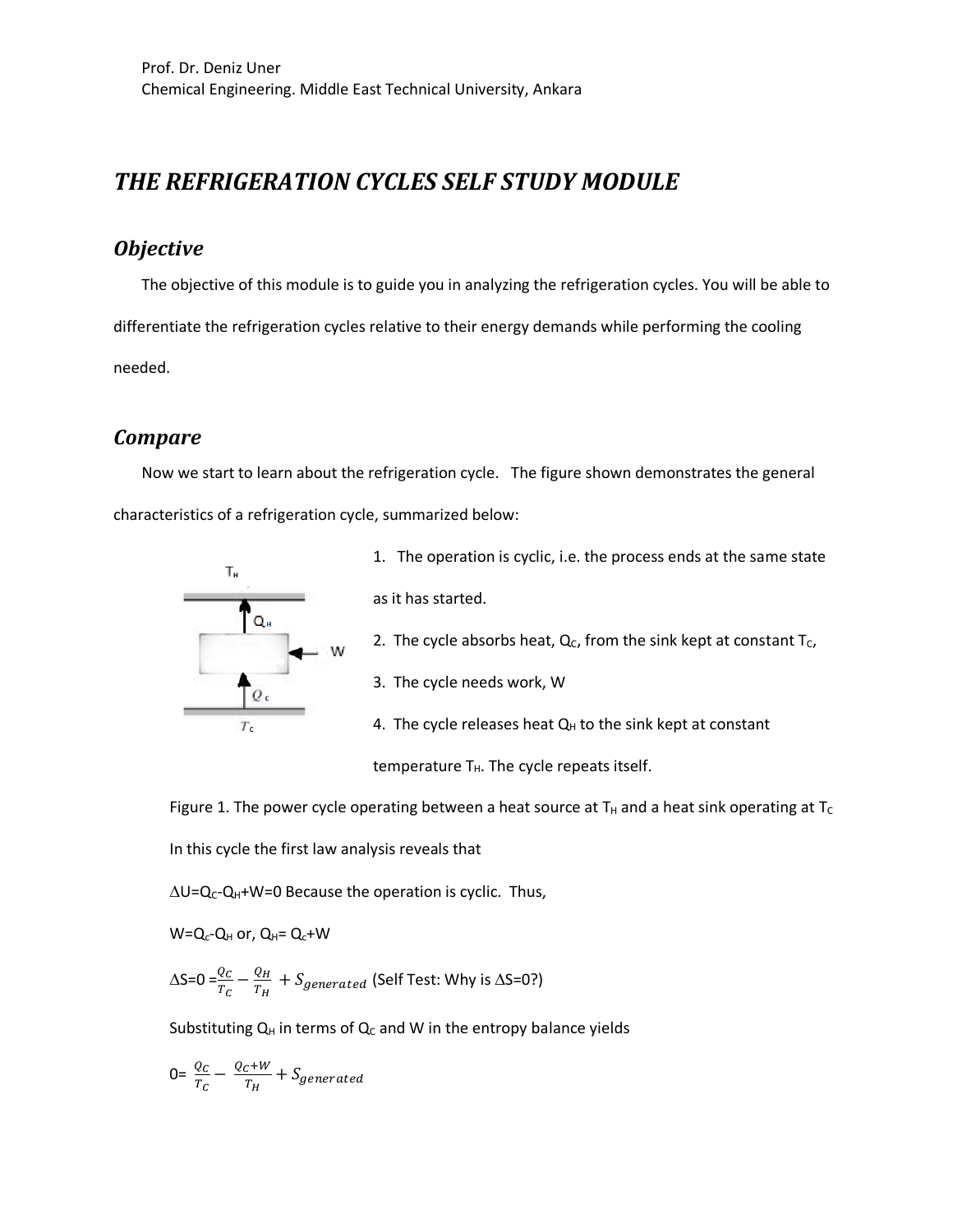# *THE REFRIGERATION CYCLES SELF STUDY MODULE*

### *Objective*

The objective of this module is to guide you in analyzing the refrigeration cycles. You will be able to differentiate the refrigeration cycles relative to their energy demands while performing the cooling needed.

### *Compare*

Now we start to learn about the refrigeration cycle. The figure shown demonstrates the general characteristics of a refrigeration cycle, summarized below:



1. The operation is cyclic, i.e. the process ends at the same state as it has started.

- 2. The cycle absorbs heat,  $Q_C$ , from the sink kept at constant T<sub>C</sub>,
- 3. The cycle needs work, W

4. The cycle releases heat  $Q_H$  to the sink kept at constant

temperature  $T_H$ . The cycle repeats itself.

Figure 1. The power cycle operating between a heat source at  $T_H$  and a heat sink operating at  $T_C$ In this cycle the first law analysis reveals that

 $\Delta U = Q_C - Q_H + W = 0$  Because the operation is cyclic. Thus,

 $W=Q_c-Q_H$  or,  $Q_H=Q_c+W$ 

 $\Delta$ S=0 = $\frac{Q_C}{T_C} - \frac{Q_H}{T_H} + S_{generated}$  (Self Test: Why is  $\Delta$ S=0?)

Substituting  $Q_H$  in terms of  $Q_C$  and W in the entropy balance yields

$$
0 = \frac{Q_C}{T_C} - \frac{Q_C + W}{T_H} + S_{generated}
$$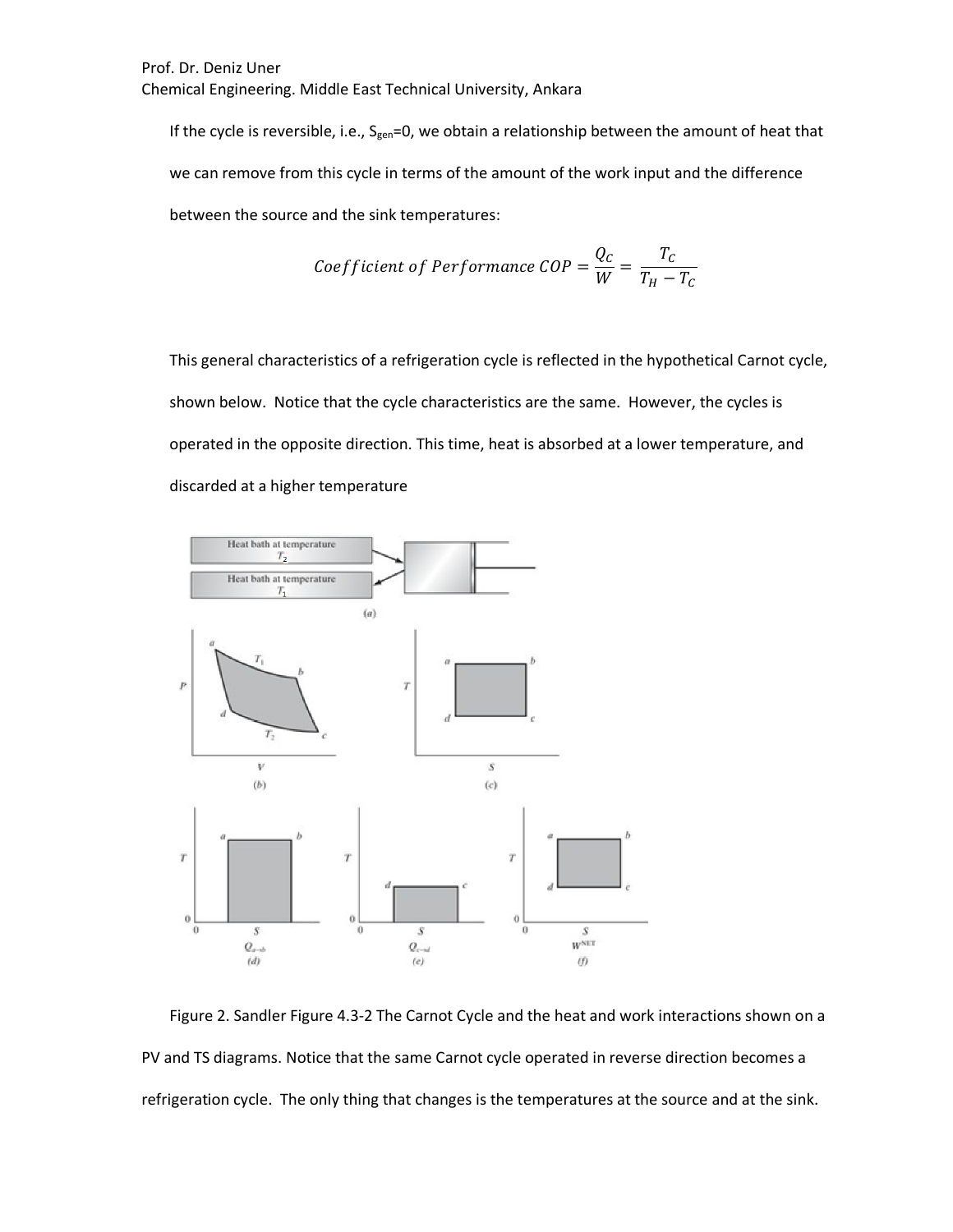If the cycle is reversible, i.e.,  $S_{gen}=0$ , we obtain a relationship between the amount of heat that we can remove from this cycle in terms of the amount of the work input and the difference between the source and the sink temperatures:

$$
Coefficient of Performance COP = \frac{Q_C}{W} = \frac{T_C}{T_H - T_C}
$$

This general characteristics of a refrigeration cycle is reflected in the hypothetical Carnot cycle, shown below. Notice that the cycle characteristics are the same. However, the cycles is operated in the opposite direction. This time, heat is absorbed at a lower temperature, and discarded at a higher temperature



Figure 2. Sandler Figure 4.3-2 The Carnot Cycle and the heat and work interactions shown on a PV and TS diagrams. Notice that the same Carnot cycle operated in reverse direction becomes a refrigeration cycle. The only thing that changes is the temperatures at the source and at the sink.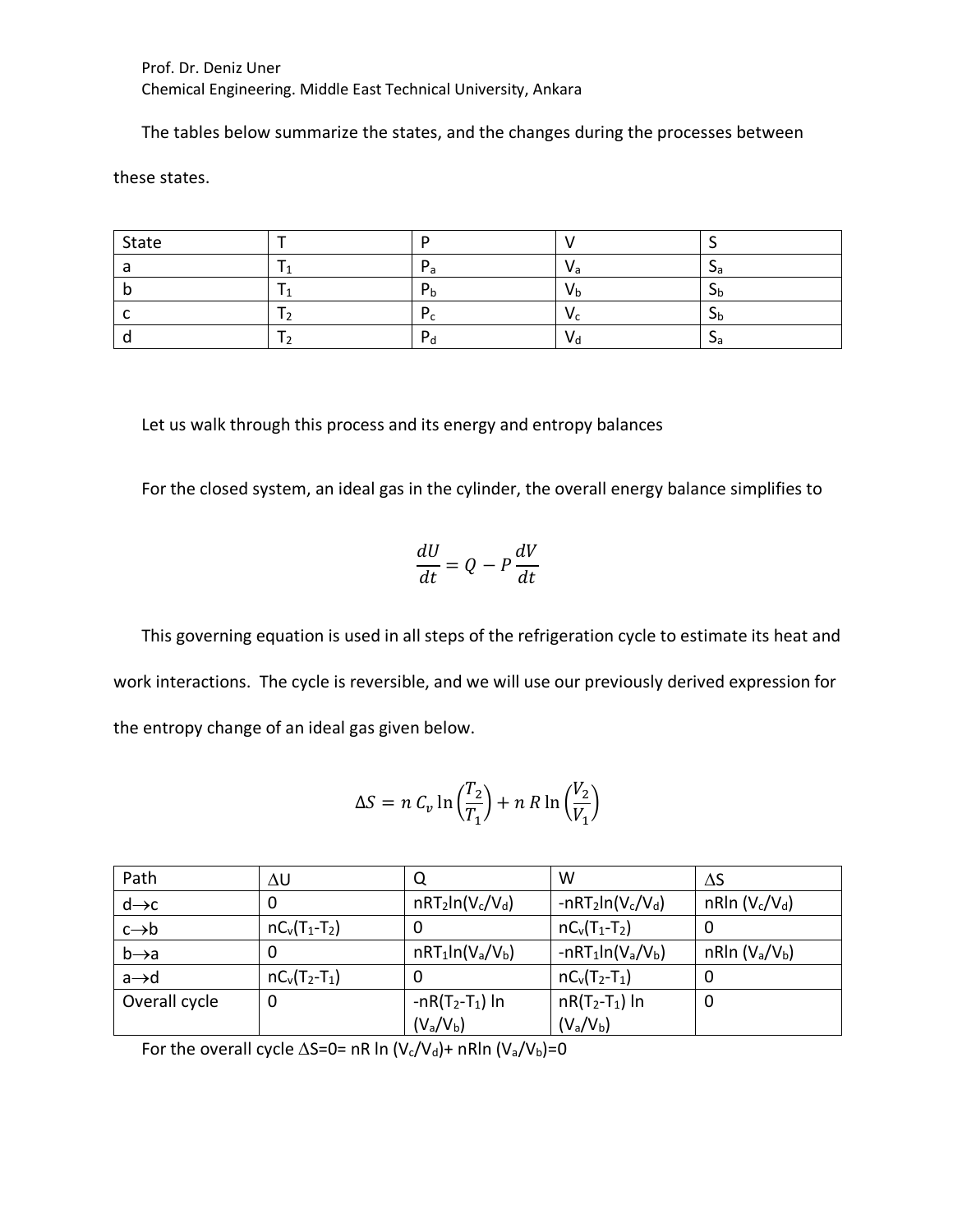The tables below summarize the states, and the changes during the processes between

these states.

| State |  |     |     |
|-------|--|-----|-----|
|       |  | v a | جرب |
|       |  | V h | J٢  |
|       |  |     | υ۲  |
|       |  | νc  | Jа  |

Let us walk through this process and its energy and entropy balances

For the closed system, an ideal gas in the cylinder, the overall energy balance simplifies to

$$
\frac{dU}{dt} = Q - P\frac{dV}{dt}
$$

This governing equation is used in all steps of the refrigeration cycle to estimate its heat and work interactions. The cycle is reversible, and we will use our previously derived expression for the entropy change of an ideal gas given below.

$$
\Delta S = n C_v \ln \left(\frac{T_2}{T_1}\right) + n R \ln \left(\frac{V_2}{V_1}\right)
$$

| Path              | ΔU              | Q                  | W                   | ΔS                                     |
|-------------------|-----------------|--------------------|---------------------|----------------------------------------|
| $d\rightarrow c$  |                 | $nRT_2ln(V_c/V_d)$ | $-nRT_2ln(V_c/V_d)$ | nRln $(V_c/V_d)$                       |
| $c \rightarrow b$ | $nC_v(T_1-T_2)$ | 0                  | $nC_v(T_1-T_2)$     | Ü                                      |
| $b \rightarrow a$ | O               | $nRT_1ln(V_a/V_b)$ | $-nRT_1ln(V_a/V_b)$ | nRIn (V <sub>a</sub> /V <sub>b</sub> ) |
| $a \rightarrow d$ | $nC_v(T_2-T_1)$ | 0                  | $nC_v(T_2-T_1)$     | O                                      |
| Overall cycle     | 0               | $-nR(T_2-T_1)$ In  | $nR(T_2-T_1)$ In    | 0                                      |
|                   |                 | $(V_a/V_b)$        | $(V_a/V_b)$         |                                        |

For the overall cycle  $\Delta S=0=$  nR ln (V<sub>c</sub>/V<sub>d</sub>)+ nRln (V<sub>a</sub>/V<sub>b</sub>)=0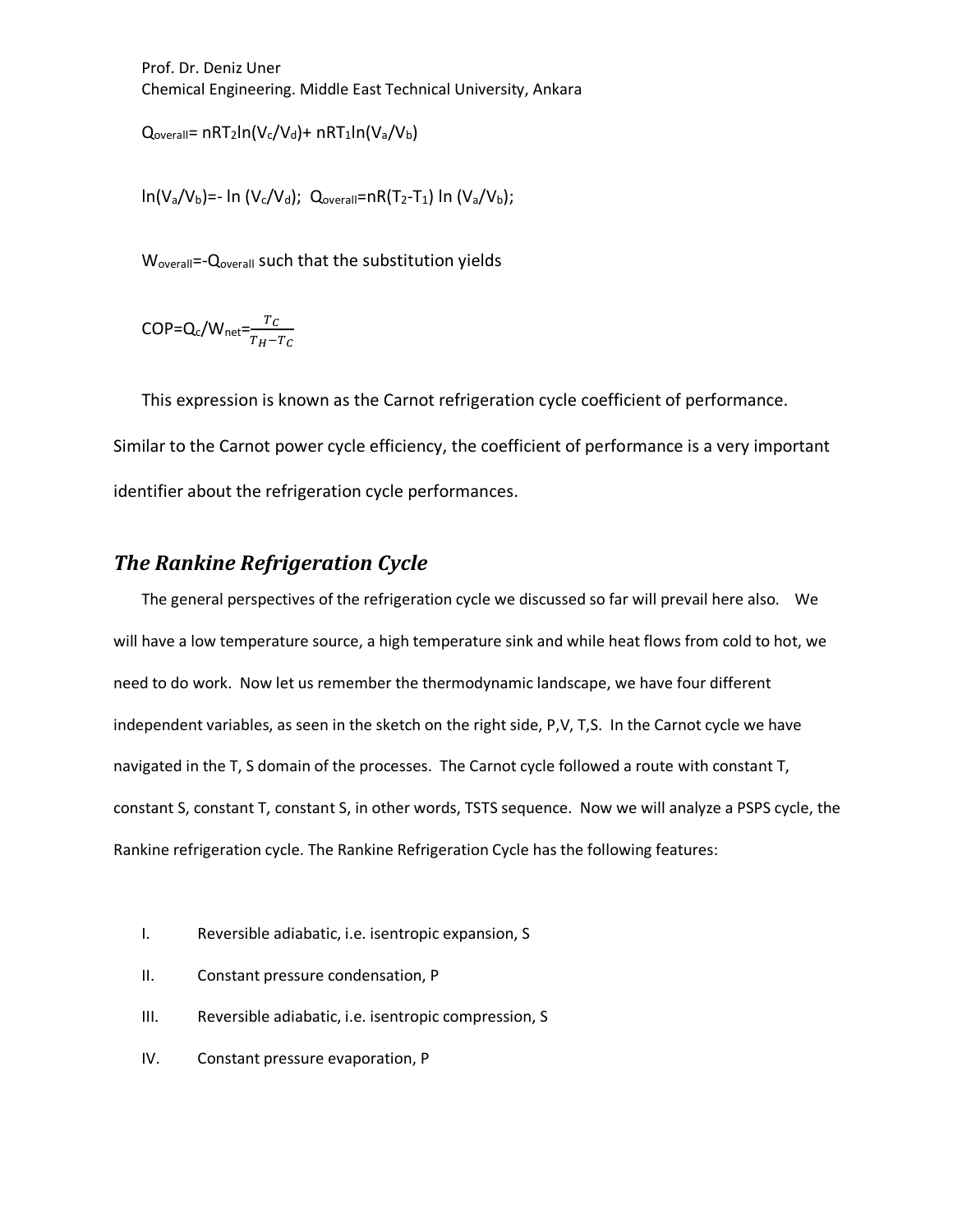$Q_{\text{overall}} = nRT_2\ln(V_c/V_d) + nRT_1\ln(V_a/V_b)$ 

 $ln(V_a/V_b)$ =- ln (V<sub>c</sub>/V<sub>d</sub>); Q<sub>overall</sub>=nR(T<sub>2</sub>-T<sub>1</sub>) ln (V<sub>a</sub>/V<sub>b</sub>);

W<sub>overall</sub>=-Q<sub>overall</sub> such that the substitution yields

 $\textsf{COP} = Q_c/W_{\text{net}} = \frac{T_C}{T_H - T_C}$ 

This expression is known as the Carnot refrigeration cycle coefficient of performance. Similar to the Carnot power cycle efficiency, the coefficient of performance is a very important identifier about the refrigeration cycle performances.

# *The Rankine Refrigeration Cycle*

The general perspectives of the refrigeration cycle we discussed so far will prevail here also. We will have a low temperature source, a high temperature sink and while heat flows from cold to hot, we need to do work. Now let us remember the thermodynamic landscape, we have four different independent variables, as seen in the sketch on the right side, P,V, T,S. In the Carnot cycle we have navigated in the T, S domain of the processes. The Carnot cycle followed a route with constant T, constant S, constant T, constant S, in other words, TSTS sequence. Now we will analyze a PSPS cycle, the Rankine refrigeration cycle. The Rankine Refrigeration Cycle has the following features:

- I. Reversible adiabatic, i.e. isentropic expansion, S
- II. Constant pressure condensation, P
- III. Reversible adiabatic, i.e. isentropic compression, S
- IV. Constant pressure evaporation, P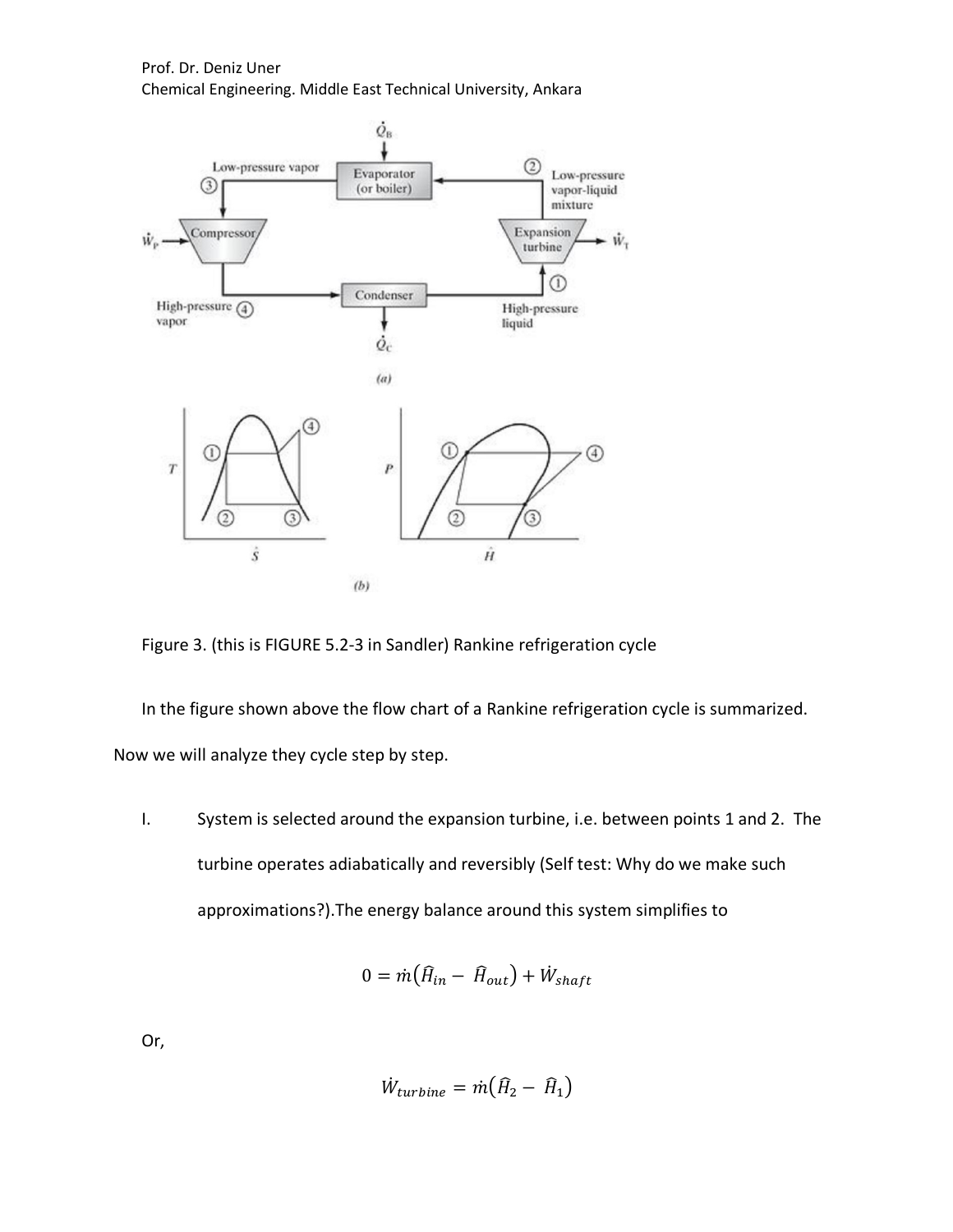

Figure 3. (this is FIGURE 5.2-3 in Sandler) Rankine refrigeration cycle

In the figure shown above the flow chart of a Rankine refrigeration cycle is summarized. Now we will analyze they cycle step by step.

I. System is selected around the expansion turbine, i.e. between points 1 and 2. The turbine operates adiabatically and reversibly (Self test: Why do we make such approximations?).The energy balance around this system simplifies to

$$
0 = \dot{m} \big( \hat{H}_{in} - \hat{H}_{out} \big) + \dot{W}_{shaff}
$$

Or,

$$
\dot{W}_{turbine} = \dot{m} \big( \hat{H}_2 - \hat{H}_1 \big)
$$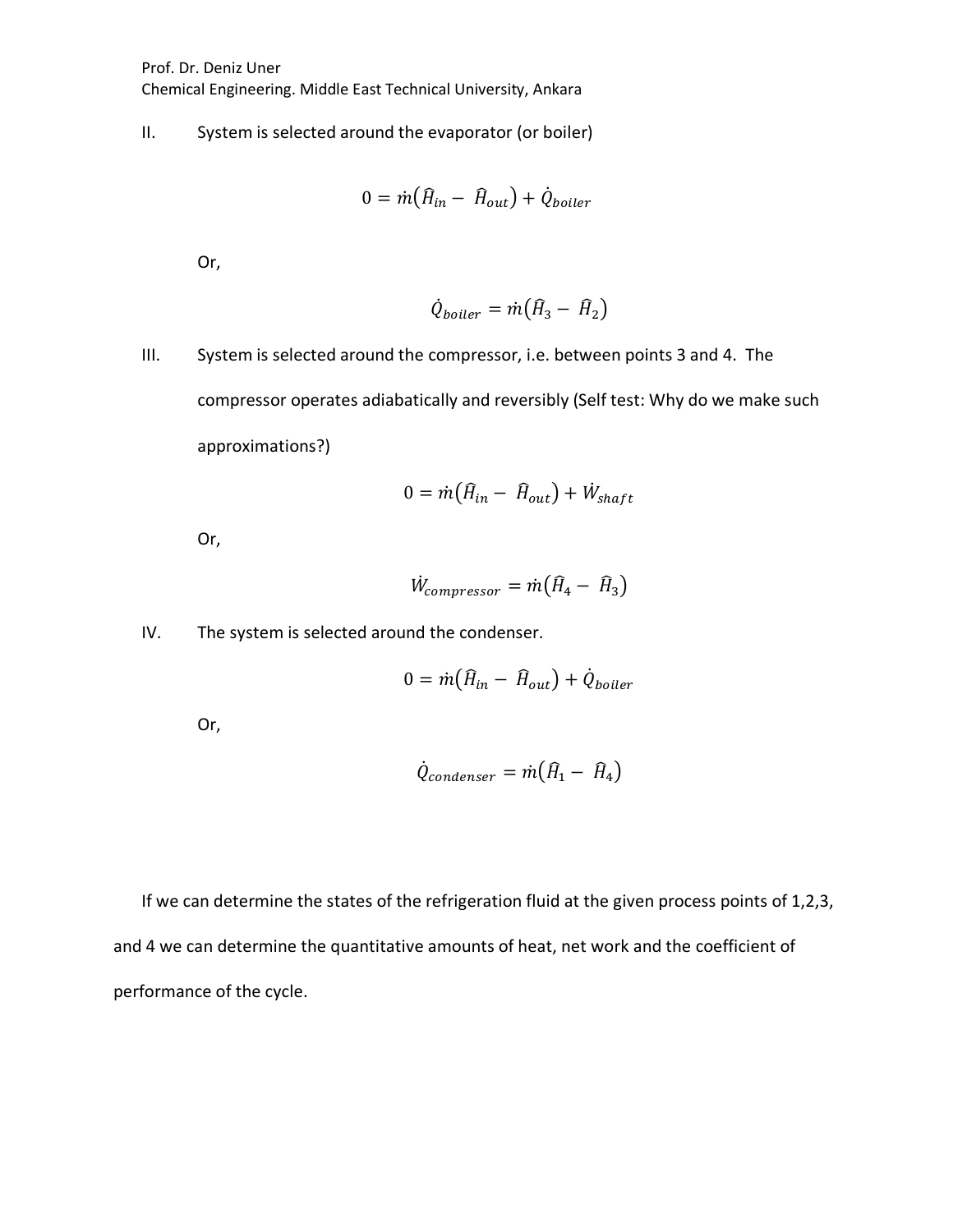II. System is selected around the evaporator (or boiler)

$$
0 = \dot{m} \big( \hat{H}_{in} - \hat{H}_{out} \big) + \dot{Q}_{boiler}
$$

Or,

$$
\dot{Q}_{boiler} = \dot{m} \big( \hat{H}_3 - \hat{H}_2 \big)
$$

III. System is selected around the compressor, i.e. between points 3 and 4. The compressor operates adiabatically and reversibly (Self test: Why do we make such approximations?)

$$
0 = \dot{m} \big( \hat{H}_{in} - \hat{H}_{out} \big) + \dot{W}_{shapt}
$$

Or,

$$
\dot{W}_{compressor} = \dot{m} \big( \hat{H}_4 - \hat{H}_3 \big)
$$

IV. The system is selected around the condenser.

$$
0 = \dot{m} \big( \hat{H}_{in} - \hat{H}_{out} \big) + \dot{Q}_{boiler}
$$

Or,

$$
\dot{Q}_{condenser} = \dot{m} \big( \hat{H}_1 - \hat{H}_4 \big)
$$

If we can determine the states of the refrigeration fluid at the given process points of 1,2,3, and 4 we can determine the quantitative amounts of heat, net work and the coefficient of performance of the cycle.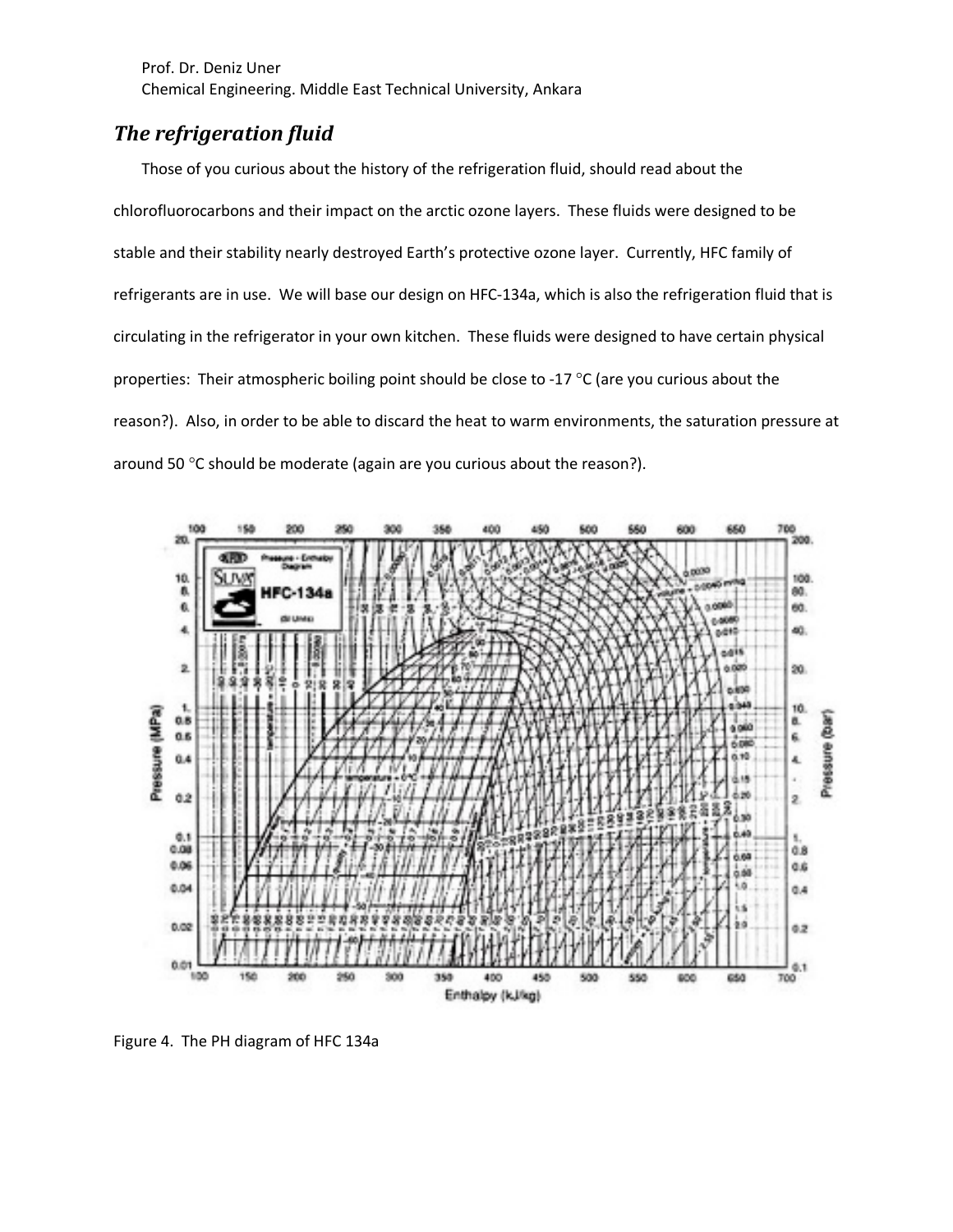# *The refrigeration fluid*

Those of you curious about the history of the refrigeration fluid, should read about the chlorofluorocarbons and their impact on the arctic ozone layers. These fluids were designed to be stable and their stability nearly destroyed Earth's protective ozone layer. Currently, HFC family of refrigerants are in use. We will base our design on HFC-134a, which is also the refrigeration fluid that is circulating in the refrigerator in your own kitchen. These fluids were designed to have certain physical properties: Their atmospheric boiling point should be close to -17 °C (are you curious about the reason?). Also, in order to be able to discard the heat to warm environments, the saturation pressure at around 50 °C should be moderate (again are you curious about the reason?).



Figure 4. The PH diagram of HFC 134a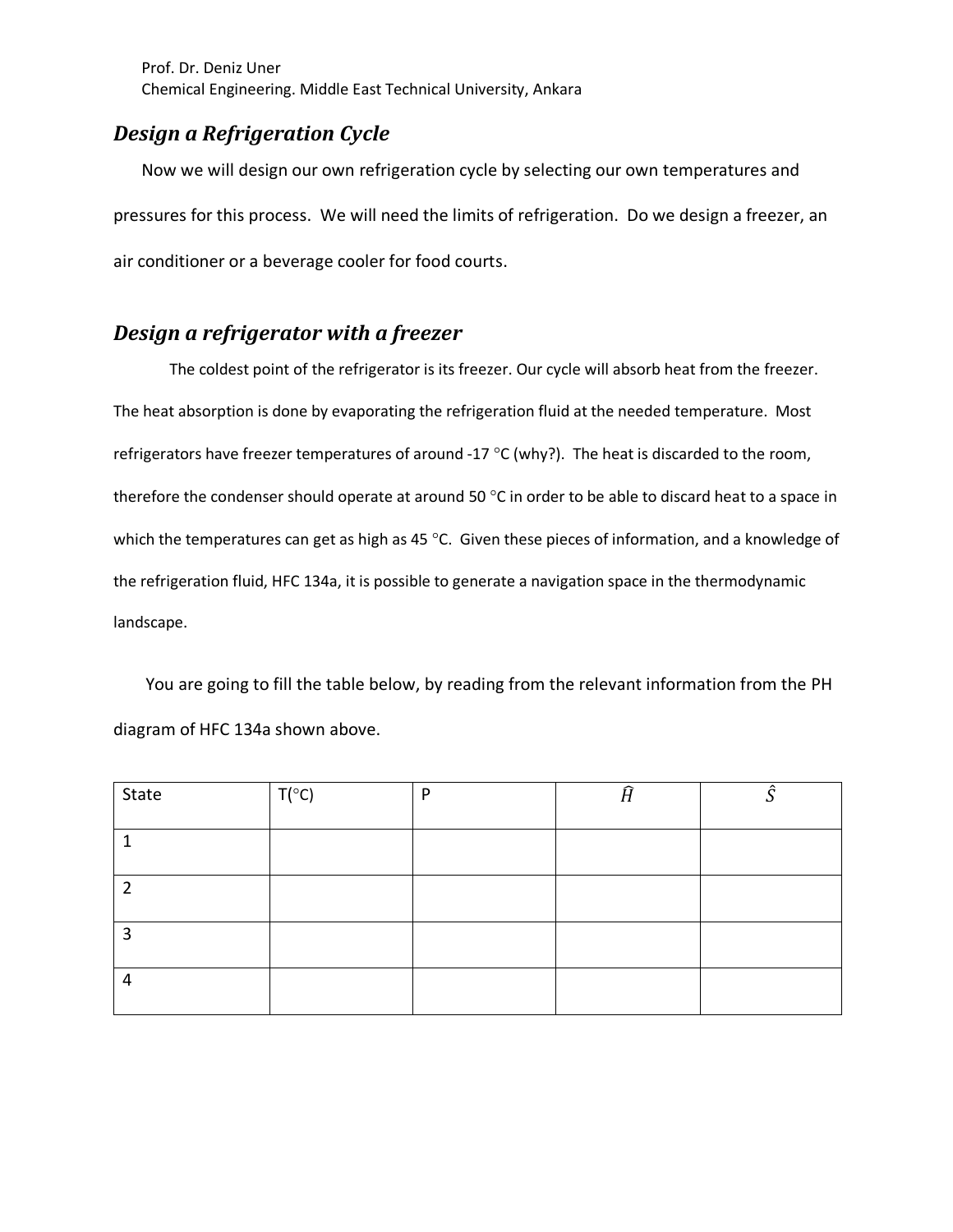# *Design a Refrigeration Cycle*

Now we will design our own refrigeration cycle by selecting our own temperatures and pressures for this process. We will need the limits of refrigeration. Do we design a freezer, an air conditioner or a beverage cooler for food courts.

### *Design a refrigerator with a freezer*

The coldest point of the refrigerator is its freezer. Our cycle will absorb heat from the freezer. The heat absorption is done by evaporating the refrigeration fluid at the needed temperature. Most refrigerators have freezer temperatures of around -17 °C (why?). The heat is discarded to the room, therefore the condenser should operate at around 50 °C in order to be able to discard heat to a space in which the temperatures can get as high as 45 °C. Given these pieces of information, and a knowledge of the refrigeration fluid, HFC 134a, it is possible to generate a navigation space in the thermodynamic landscape.

You are going to fill the table below, by reading from the relevant information from the PH diagram of HFC 134a shown above.

| State | $T(^{\circ}C)$ | P | Ĥ | â |
|-------|----------------|---|---|---|
|       |                |   |   |   |
| ำ     |                |   |   |   |
| 3     |                |   |   |   |
| 4     |                |   |   |   |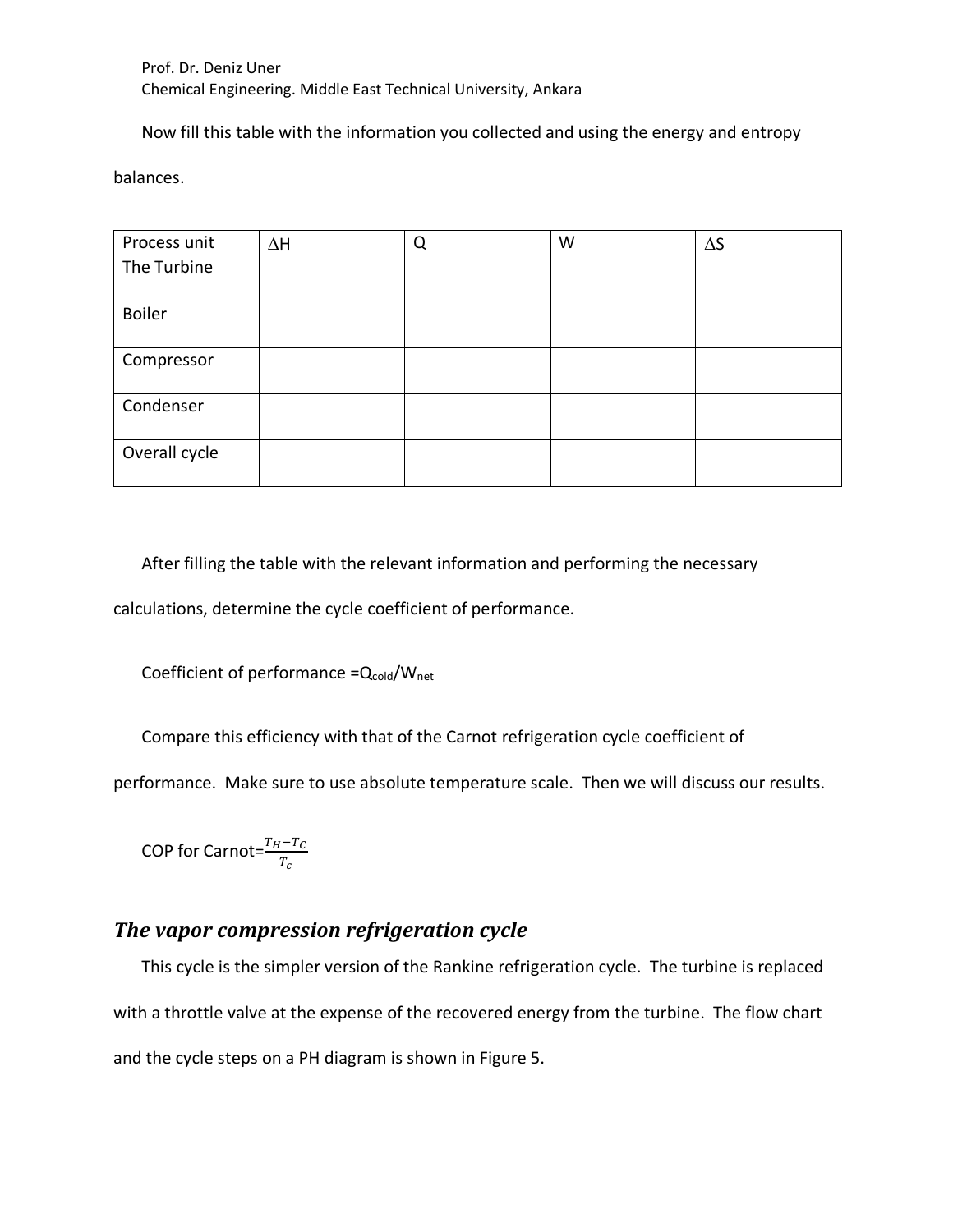Now fill this table with the information you collected and using the energy and entropy

balances.

| Process unit  | $\Delta H$ | Q | W | $\Delta S$ |
|---------------|------------|---|---|------------|
| The Turbine   |            |   |   |            |
|               |            |   |   |            |
| <b>Boiler</b> |            |   |   |            |
|               |            |   |   |            |
| Compressor    |            |   |   |            |
| Condenser     |            |   |   |            |
| Overall cycle |            |   |   |            |

After filling the table with the relevant information and performing the necessary

calculations, determine the cycle coefficient of performance.

Coefficient of performance  $=Q_{\text{cold}}/W_{\text{net}}$ 

Compare this efficiency with that of the Carnot refrigeration cycle coefficient of

performance. Make sure to use absolute temperature scale. Then we will discuss our results.

COP for Carnot= $\frac{T_H - T_C}{T}$  $\frac{T_{c}}{T_{c}}$ 

# *The vapor compression refrigeration cycle*

This cycle is the simpler version of the Rankine refrigeration cycle. The turbine is replaced with a throttle valve at the expense of the recovered energy from the turbine. The flow chart and the cycle steps on a PH diagram is shown in Figure 5.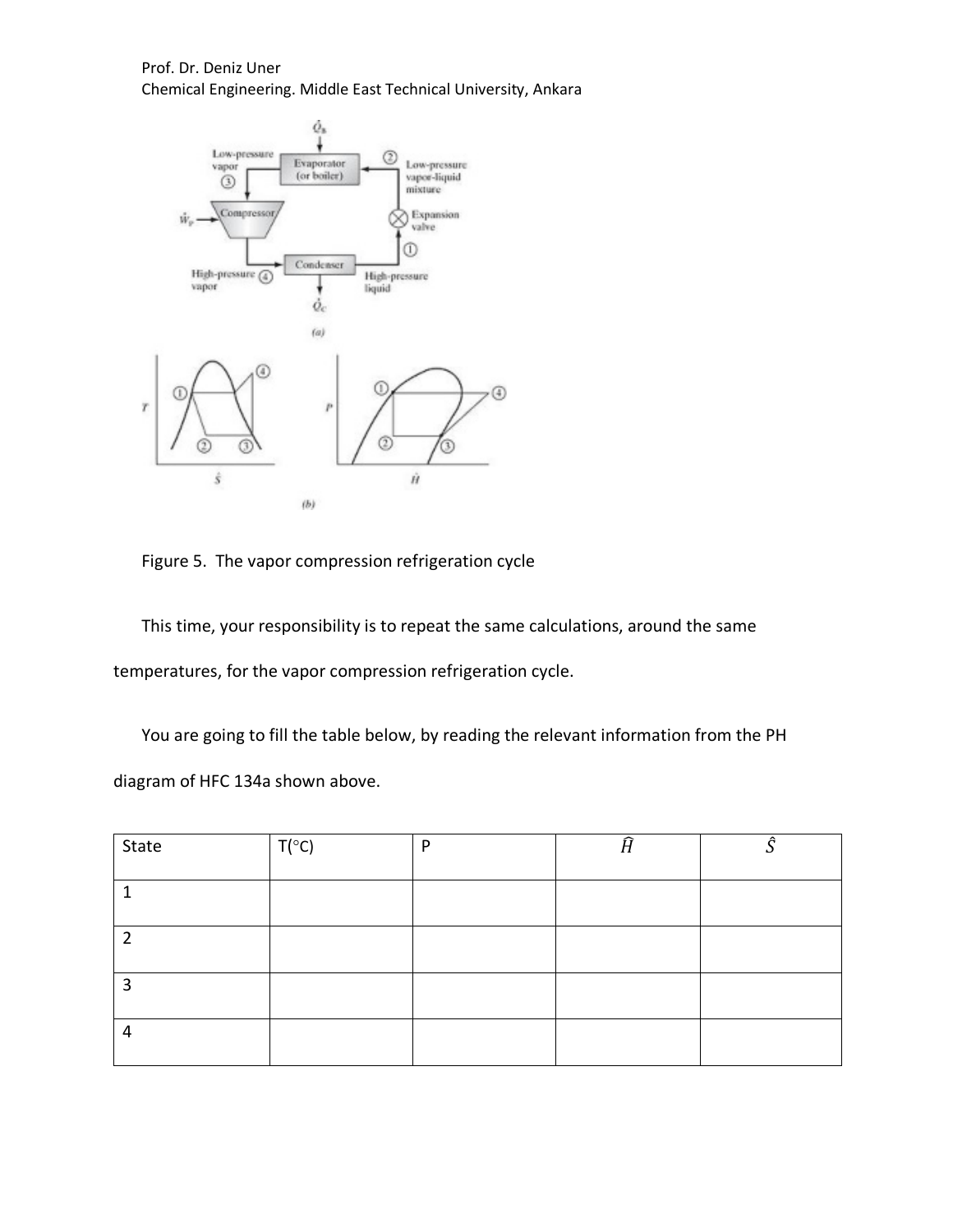

Figure 5. The vapor compression refrigeration cycle

This time, your responsibility is to repeat the same calculations, around the same temperatures, for the vapor compression refrigeration cycle.

You are going to fill the table below, by reading the relevant information from the PH diagram of HFC 134a shown above.

| State | $T(^{\circ}C)$ | D | n | Â |
|-------|----------------|---|---|---|
|       |                |   |   |   |
| ำ     |                |   |   |   |
| 3     |                |   |   |   |
| 4     |                |   |   |   |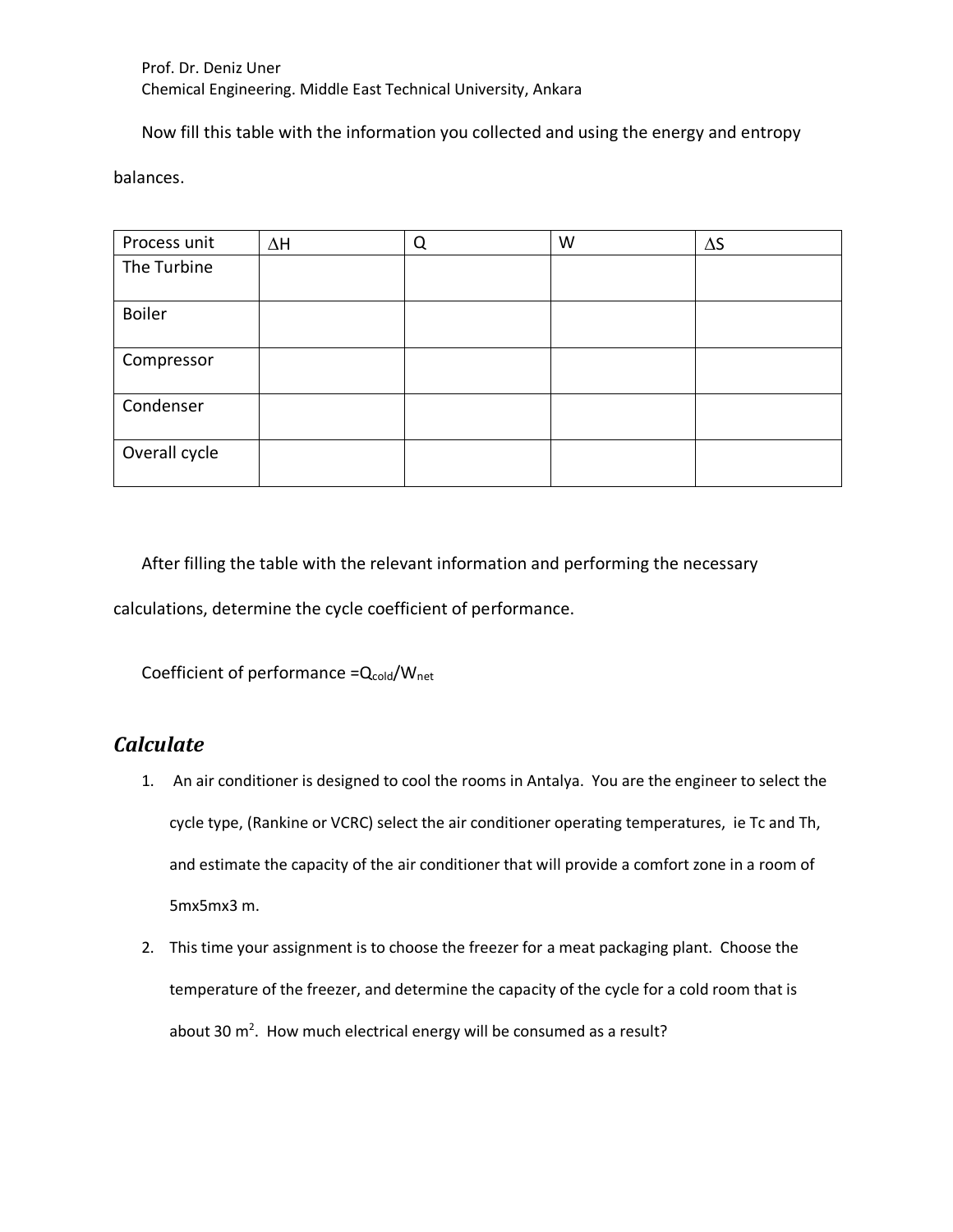Now fill this table with the information you collected and using the energy and entropy

balances.

| Process unit  | $\Delta H$ | Q | W | $\Delta S$ |
|---------------|------------|---|---|------------|
| The Turbine   |            |   |   |            |
|               |            |   |   |            |
| <b>Boiler</b> |            |   |   |            |
|               |            |   |   |            |
| Compressor    |            |   |   |            |
| Condenser     |            |   |   |            |
| Overall cycle |            |   |   |            |

After filling the table with the relevant information and performing the necessary

calculations, determine the cycle coefficient of performance.

Coefficient of performance = $Q_{\text{cold}}/W_{\text{net}}$ 

# *Calculate*

- 1. An air conditioner is designed to cool the rooms in Antalya. You are the engineer to select the cycle type, (Rankine or VCRC) select the air conditioner operating temperatures, ie Tc and Th, and estimate the capacity of the air conditioner that will provide a comfort zone in a room of 5mx5mx3 m.
- 2. This time your assignment is to choose the freezer for a meat packaging plant. Choose the temperature of the freezer, and determine the capacity of the cycle for a cold room that is about 30  $m^2$ . How much electrical energy will be consumed as a result?